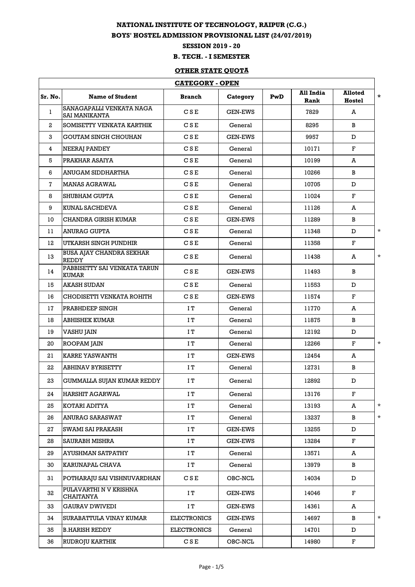## **NATIONAL INSTITUTE OF TECHNOLOGY, RAIPUR (C.G.)**

## **BOYS' HOSTEL ADMISSION PROVISIONAL LIST (24/07/2019)**

**SESSION 2019 - 20**

## **B. TECH. - I SEMESTER**

## **OTHER STATE QUOTA**

| <b>CATEGORY - OPEN</b> |                                                  |                    |                |     |                   |                          |         |  |
|------------------------|--------------------------------------------------|--------------------|----------------|-----|-------------------|--------------------------|---------|--|
| Sr. No.                | <b>Name of Student</b>                           | <b>Branch</b>      | Category       | PwD | All India<br>Rank | <b>Alloted</b><br>Hostel | $\star$ |  |
| 1                      | SANAGAPALLI VENKATA NAGA<br><b>SAI MANIKANTA</b> | CSE                | <b>GEN-EWS</b> |     | 7829              | A                        |         |  |
| $\overline{a}$         | SOMISETTY VENKATA KARTHIK                        | CSE                | General        |     | 8295              | B                        |         |  |
| 3                      | <b>GOUTAM SINGH CHOUHAN</b>                      | CSE                | <b>GEN-EWS</b> |     | 9957              | D                        |         |  |
| 4                      | NEERAJ PANDEY                                    | CSE                | General        |     | 10171             | $\mathbf{F}$             |         |  |
| 5                      | PRAKHAR ASAIYA                                   | CSE                | General        |     | 10199             | A                        |         |  |
| 6                      | ANUGAM SIDDHARTHA                                | CSE                | General        |     | 10266             | B                        |         |  |
| 7                      | <b>MANAS AGRAWAL</b>                             | CSE                | General        |     | 10705             | D                        |         |  |
| 8                      | <b>SHUBHAM GUPTA</b>                             | CSE                | General        |     | 11024             | F                        |         |  |
| 9                      | KUNAL SACHDEVA                                   | CSE                | General        |     | 11126             | A                        |         |  |
| 10                     | CHANDRA GIRISH KUMAR                             | CSE                | <b>GEN-EWS</b> |     | 11289             | B                        |         |  |
| 11                     | <b>ANURAG GUPTA</b>                              | CSE                | General        |     | 11348             | D                        | $\star$ |  |
| 12                     | UTKARSH SINGH PUNDHIR                            | CSE                | General        |     | 11358             | F                        |         |  |
| 13                     | <b>BUSA AJAY CHANDRA SEKHAR</b><br><b>REDDY</b>  | CSE                | General        |     | 11438             | A                        | $\star$ |  |
| 14                     | PABBISETTY SAI VENKATA TARUN<br><b>KUMAR</b>     | CSE                | <b>GEN-EWS</b> |     | 11493             | B                        |         |  |
| 15                     | AKASH SUDAN                                      | CSE                | General        |     | 11553             | D                        |         |  |
| 16                     | CHODISETTI VENKATA ROHITH                        | CSE                | <b>GEN-EWS</b> |     | 11574             | $\mathbf F$              |         |  |
| 17                     | PRABHDEEP SINGH                                  | ΙT                 | General        |     | 11770             | A                        |         |  |
| 18                     | <b>ABHISHEK KUMAR</b>                            | IT                 | General        |     | 11875             | B                        |         |  |
| 19                     | VASHU JAIN                                       | IΤ                 | General        |     | 12192             | D                        |         |  |
| 20                     | ROOPAM JAIN                                      | IΤ                 | General        |     | 12266             | F                        | $\star$ |  |
| 21                     | <b>KARRE YASWANTH</b>                            | IΤ                 | <b>GEN-EWS</b> |     | 12454             | A                        |         |  |
| 22                     | <b>ABHINAV BYRISETTY</b>                         | ΙT                 | General        |     | 12731             | B                        |         |  |
| 23                     | <b>GUMMALLA SUJAN KUMAR REDDY</b>                | IΤ                 | General        |     | 12892             | D                        |         |  |
| 24                     | <b>HARSHIT AGARWAL</b>                           | IT                 | General        |     | 13176             | F                        |         |  |
| 25                     | KOTARI ADITYA                                    | IT                 | General        |     | 13193             | A                        | $\star$ |  |
| 26                     | ANURAG SARASWAT                                  | IT                 | General        |     | 13237             | B                        | $\star$ |  |
| 27                     | SWAMI SAI PRAKASH                                | IT                 | <b>GEN-EWS</b> |     | 13255             | D                        |         |  |
| 28                     | SAURABH MISHRA                                   | IT                 | <b>GEN-EWS</b> |     | 13284             | $\mathbf F$              |         |  |
| 29                     | AYUSHMAN SATPATHY                                | IT                 | General        |     | 13571             | A                        |         |  |
| 30                     | KARUNAPAL CHAVA                                  | ΙT                 | General        |     | 13979             | B                        |         |  |
| 31                     | POTHARAJU SAI VISHNUVARDHAN                      | CSE                | OBC-NCL        |     | 14034             | D                        |         |  |
| 32                     | PULAVARTHI N V KRISHNA<br><b>CHAITANYA</b>       | IT                 | <b>GEN-EWS</b> |     | 14046             | F                        |         |  |
| 33                     | <b>GAURAV DWIVEDI</b>                            | ΙT                 | <b>GEN-EWS</b> |     | 14361             | A                        |         |  |
| 34                     | SURABATTULA VINAY KUMAR                          | <b>ELECTRONICS</b> | <b>GEN-EWS</b> |     | 14697             | B                        | $\star$ |  |
| 35                     | <b>B.HARISH REDDY</b>                            | <b>ELECTRONICS</b> | General        |     | 14701             | D                        |         |  |
| 36                     | RUDROJU KARTHIK                                  | CSE                | OBC-NCL        |     | 14980             | $\mathbf{F}$             |         |  |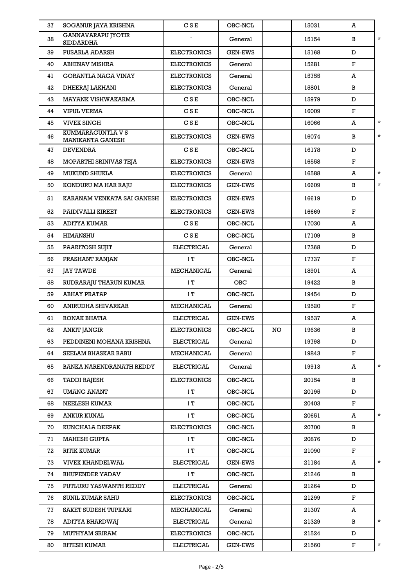| 37 | SOGANUR JAYA KRISHNA                          | CSE                | OBC-NCL        |    | 15031 | A            |          |
|----|-----------------------------------------------|--------------------|----------------|----|-------|--------------|----------|
| 38 | <b>GANNAVARAPU JYOTIR</b><br><b>SIDDARDHA</b> |                    | General        |    | 15154 | B            | $\star$  |
| 39 | PUSARLA ADARSH                                | <b>ELECTRONICS</b> | <b>GEN-EWS</b> |    | 15168 | D            |          |
| 40 | <b>ABHINAV MISHRA</b>                         | <b>ELECTRONICS</b> | General        |    | 15281 | $\mathbf{F}$ |          |
| 41 | GORANTLA NAGA VINAY                           | <b>ELECTRONICS</b> | General        |    | 15755 | A            |          |
| 42 | DHEERAJ LAKHANI                               | <b>ELECTRONICS</b> | General        |    | 15801 | B            |          |
| 43 | <b>MAYANK VISHWAKARMA</b>                     | CSE                | OBC-NCL        |    | 15979 | D            |          |
| 44 | VIPUL VERMA                                   | CSE                | OBC-NCL        |    | 16009 | F            |          |
| 45 | <b>VIVEK SINGH</b>                            | CSE                | OBC-NCL        |    | 16066 | A            | $\star$  |
| 46 | KUMMARAGUNTLA V S<br>MANIKANTA GANESH         | <b>ELECTRONICS</b> | <b>GEN-EWS</b> |    | 16074 | B            | $\star$  |
| 47 | <b>DEVENDRA</b>                               | CSE                | OBC-NCL        |    | 16178 | D            |          |
| 48 | MOPARTHI SRINIVAS TEJA                        | <b>ELECTRONICS</b> | <b>GEN-EWS</b> |    | 16558 | F            |          |
| 49 | <b>MUKUND SHUKLA</b>                          | <b>ELECTRONICS</b> | General        |    | 16588 | A            | $\star$  |
| 50 | KONDURU MA HAR RAJU                           | <b>ELECTRONICS</b> | <b>GEN-EWS</b> |    | 16609 | B            | $\star$  |
| 51 | KARANAM VENKATA SAI GANESH                    | <b>ELECTRONICS</b> | <b>GEN-EWS</b> |    | 16619 | D            |          |
| 52 | PAIDIVALLI KIREET                             | <b>ELECTRONICS</b> | <b>GEN-EWS</b> |    | 16669 | $\mathbf{F}$ |          |
| 53 | <b>ADITYA KUMAR</b>                           | CSE                | OBC-NCL        |    | 17030 | A            |          |
| 54 | <b>HIMANSHU</b>                               | CSE                | OBC-NCL        |    | 17109 | B            |          |
| 55 | PAARITOSH SUJIT                               | ELECTRICAL         | General        |    | 17368 | D            |          |
| 56 | PRASHANT RANJAN                               | IT                 | OBC-NCL        |    | 17737 | F            |          |
| 57 | <b>JAY TAWDE</b>                              | MECHANICAL         | General        |    | 18901 | A            |          |
| 58 | RUDRARAJU THARUN KUMAR                        | ΙT                 | OBC            |    | 19422 | B            |          |
| 59 | <b>ABHAY PRATAP</b>                           | IT                 | OBC-NCL        |    | 19454 | D            |          |
| 60 | ANIRUDHA SHIVARKAR                            | MECHANICAL         | General        |    | 19520 | $\mathbf F$  |          |
| 61 | RONAK BHATIA                                  | <b>ELECTRICAL</b>  | <b>GEN-EWS</b> |    | 19537 | A            |          |
| 62 | ANKIT JANGIR                                  | <b>ELECTRONICS</b> | OBC-NCL        | NO | 19636 | В            |          |
| 63 | PEDDINENI MOHANA KRISHNA                      | <b>ELECTRICAL</b>  | General        |    | 19798 | D            |          |
| 64 | SEELAM BHASKAR BABU                           | MECHANICAL         | General        |    | 19843 | $\mathbf{F}$ |          |
| 65 | <b>BANKA NARENDRANATH REDDY</b>               | <b>ELECTRICAL</b>  | General        |    | 19913 | A            | $^\star$ |
| 66 | TADDI RAJESH                                  | <b>ELECTRONICS</b> | OBC-NCL        |    | 20154 | B            |          |
| 67 | <b>UMANG ANANT</b>                            | ΙT                 | OBC-NCL        |    | 20195 | D            |          |
| 68 | NEELESH KUMAR                                 | ΙT                 | OBC-NCL        |    | 20403 | $\mathbf F$  |          |
| 69 | <b>ANKUR KUNAL</b>                            | IT                 | OBC-NCL        |    | 20651 | A            | $\star$  |
| 70 | KUNCHALA DEEPAK                               | <b>ELECTRONICS</b> | OBC-NCL        |    | 20700 | B            |          |
| 71 | <b>MAHESH GUPTA</b>                           | IT                 | OBC-NCL        |    | 20876 | D            |          |
| 72 | <b>RITIK KUMAR</b>                            | ΙT                 | OBC-NCL        |    | 21090 | $\mathbf F$  |          |
| 73 | VIVEK KHANDELWAL                              | <b>ELECTRICAL</b>  | <b>GEN-EWS</b> |    | 21184 | A            | $\star$  |
| 74 | <b>BHUPENDER YADAV</b>                        | IT                 | OBC-NCL        |    | 21246 | B            |          |
| 75 | PUTLURU YASWANTH REDDY                        | <b>ELECTRICAL</b>  | General        |    | 21264 | D            |          |
| 76 | <b>SUNIL KUMAR SAHU</b>                       | <b>ELECTRONICS</b> | OBC-NCL        |    | 21299 | $\mathbf F$  |          |
| 77 | SAKET SUDESH TUPKARI                          | MECHANICAL         | General        |    | 21307 | A            |          |
| 78 | ADITYA BHARDWAJ                               | <b>ELECTRICAL</b>  | General        |    | 21329 | B            | $\star$  |
| 79 | <b>MUTHYAM SRIRAM</b>                         | <b>ELECTRONICS</b> | OBC-NCL        |    | 21524 | D            |          |
| 80 | <b>RITESH KUMAR</b>                           | ELECTRICAL         | <b>GEN-EWS</b> |    | 21560 | $\mathbf{F}$ | $\star$  |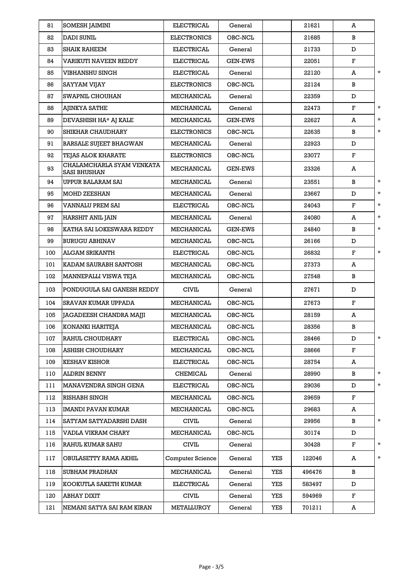| 81  | <b>SOMESH JAIMINI</b>                            | <b>ELECTRICAL</b>       | General        |     | 21621  | A           |          |
|-----|--------------------------------------------------|-------------------------|----------------|-----|--------|-------------|----------|
| 82  | DADI SUNIL                                       | <b>ELECTRONICS</b>      | OBC-NCL        |     | 21685  | B           |          |
| 83  | SHAIK RAHEEM                                     | ELECTRICAL              | General        |     | 21733  | D           |          |
| 84  | VARIKUTI NAVEEN REDDY                            | ELECTRICAL              | <b>GEN-EWS</b> |     | 22051  | F           |          |
| 85  | VIBHANSHU SINGH                                  | ELECTRICAL              | General        |     | 22120  | A           | $\star$  |
| 86  | SAYYAM VIJAY                                     | <b>ELECTRONICS</b>      | OBC-NCL        |     | 22124  | B           |          |
| 87  | SWAPNIL CHOUHAN                                  | MECHANICAL              | General        |     | 22359  | D           |          |
| 88  | AJINKYA SATHE                                    | MECHANICAL              | General        |     | 22473  | F           | $\star$  |
| 89  | DEVASHISH HA* AJ KALE                            | MECHANICAL              | <b>GEN-EWS</b> |     | 22627  | A           | $\star$  |
| 90  | SHIKHAR CHAUDHARY                                | <b>ELECTRONICS</b>      | OBC-NCL        |     | 22635  | B           | $\star$  |
| 91  | <b>BARSALE SUJEET BHAGWAN</b>                    | MECHANICAL              | General        |     | 22923  | D           |          |
| 92  | <b>TEJAS ALOK KHARATE</b>                        | <b>ELECTRONICS</b>      | OBC-NCL        |     | 23077  | F           |          |
| 93  | CHALAMCHARLA SYAM VENKATA<br><b>SASI BHUSHAN</b> | MECHANICAL              | <b>GEN-EWS</b> |     | 23326  | A           |          |
| 94  | UPPUR BALARAM SAI                                | MECHANICAL              | General        |     | 23551  | B           | $\star$  |
| 95  | <b>MOHD ZEESHAN</b>                              | MECHANICAL              | General        |     | 23667  | D           | $\star$  |
| 96  | VANNALU PREM SAI                                 | ELECTRICAL              | OBC-NCL        |     | 24043  | F           | $\star$  |
| 97  | HARSHIT ANIL JAIN                                | MECHANICAL              | General        |     | 24080  | A           | $^\star$ |
| 98  | KATHA SAI LOKESWARA REDDY                        | MECHANICAL              | <b>GEN-EWS</b> |     | 24840  | B           | $\star$  |
| 99  | <b>BURUGU ABHINAV</b>                            | MECHANICAL              | OBC-NCL        |     | 26166  | D           |          |
| 100 | <b>ALGAM SRIKANTH</b>                            | ELECTRICAL              | OBC-NCL        |     | 26832  | $\mathbf F$ | $\star$  |
| 101 | KADAM SAURABH SANTOSH                            | MECHANICAL              | OBC-NCL        |     | 27373  | A           |          |
| 102 | MANNEPALLI VISWA TEJA                            | MECHANICAL              | OBC-NCL        |     | 27548  | B           |          |
| 103 | PONDUGULA SAI GANESH REDDY                       | <b>CIVIL</b>            | General        |     | 27671  | D           |          |
| 104 | SRAVAN KUMAR UPPADA                              | MECHANICAL              | OBC-NCL        |     | 27673  | $\mathbf F$ |          |
| 105 | JAGADEESH CHANDRA MAJJI                          | MECHANICAL              | OBC-NCL        |     | 28159  | A           |          |
| 106 | KONANKI HARITEJA                                 | MECHANICAL              | OBC-NCL        |     | 28356  | B           |          |
| 107 | RAHUL CHOUDHARY                                  | <b>ELECTRICAL</b>       | OBC-NCL        |     | 28466  | D           | $\star$  |
| 108 | <b>ASHISH CHOUDHARY</b>                          | MECHANICAL              | OBC-NCL        |     | 28666  | F           |          |
| 109 | <b>KESHAV KISHOR</b>                             | <b>ELECTRICAL</b>       | OBC-NCL        |     | 28754  | A           |          |
| 110 | ALDRIN BENNY                                     | <b>CHEMICAL</b>         | General        |     | 28990  | B           | $^\star$ |
| 111 | MANAVENDRA SINGH GENA                            | <b>ELECTRICAL</b>       | OBC-NCL        |     | 29036  | D           | $\star$  |
| 112 | RISHABH SINGH                                    | MECHANICAL              | OBC-NCL        |     | 29659  | $\mathbf F$ |          |
| 113 | IMANDI PAVAN KUMAR                               | MECHANICAL              | OBC-NCL        |     | 29683  | A           |          |
| 114 | SATYAM SATYADARSHI DASH                          | <b>CIVIL</b>            | General        |     | 29956  | B           | $\star$  |
| 115 | VADLA VIKRAM CHARY                               | MECHANICAL              | OBC-NCL        |     | 30174  | D           |          |
| 116 | RAHUL KUMAR SAHU                                 | <b>CIVIL</b>            | General        |     | 30428  | $\mathbf F$ | $\star$  |
| 117 | OBULASETTY RAMA AKHIL                            | <b>Computer Science</b> | General        | YES | 122046 | A           | $\star$  |
| 118 | <b>SUBHAM PRADHAN</b>                            | MECHANICAL              | General        | YES | 496476 | В           |          |
| 119 | KOOKUTLA SAKETH KUMAR                            | ELECTRICAL              | General        | YES | 583497 | D           |          |
| 120 | ABHAY DIXIT                                      | <b>CIVIL</b>            | General        | YES | 594969 | $\mathbf F$ |          |
| 121 | NEMANI SATYA SAI RAM KIRAN                       | METALLURGY              | General        | YES | 701211 | A           |          |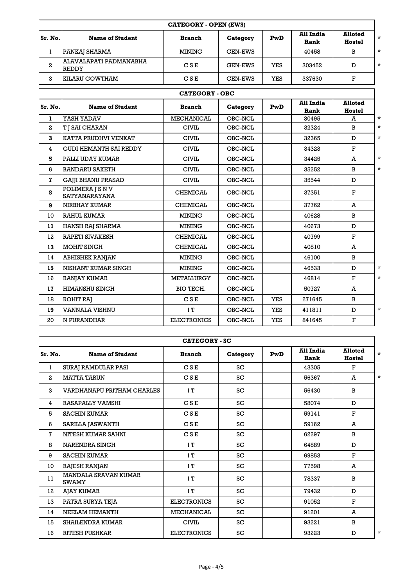|         | <b>CATEGORY - OPEN (EWS)</b>           |               |                |            |                   |                          |          |
|---------|----------------------------------------|---------------|----------------|------------|-------------------|--------------------------|----------|
| Sr. No. | <b>Name of Student</b>                 | <b>Branch</b> | Category       | PwD        | All India<br>Rank | <b>Alloted</b><br>Hostel | *        |
|         | PANKAJ SHARMA                          | MINING        | <b>GEN-EWS</b> |            | 40458             | в                        | $^\star$ |
| 2       | ALAVALAPATI PADMANABHA<br><b>REDDY</b> | CSE           | <b>GEN-EWS</b> | <b>YES</b> | 303452            |                          | $^\star$ |
| 3       | KILARU GOWTHAM                         | CSE           | <b>GEN-EWS</b> | <b>YES</b> | 337630            | Р                        |          |

|                | <b>CATEGORY - OBC</b>                    |                    |          |            |                   |                          |         |  |  |
|----------------|------------------------------------------|--------------------|----------|------------|-------------------|--------------------------|---------|--|--|
| Sr. No.        | <b>Name of Student</b>                   | <b>Branch</b>      | Category | PwD        | All India<br>Rank | <b>Alloted</b><br>Hostel |         |  |  |
| $\mathbf{1}$   | YASH YADAV                               | <b>MECHANICAL</b>  | OBC-NCL  |            | 30495             | A                        | $\ast$  |  |  |
| $\mathbf{2}$   | <b>T   SAI CHARAN</b>                    | <b>CIVIL</b>       | OBC-NCL  |            | 32324             | <sub>B</sub>             | $\star$ |  |  |
| 3              | KATTA PRUDHVI VENKAT                     | <b>CIVIL</b>       | OBC-NCL  |            | 32365             | D                        | $\star$ |  |  |
| $\overline{4}$ | <b>GUDI HEMANTH SAI REDDY</b>            | <b>CIVIL</b>       | OBC-NCL  |            | 34323             | $\mathbf F$              |         |  |  |
| 5              | PALLI UDAY KUMAR                         | <b>CIVIL</b>       | OBC-NCL  |            | 34425             | A                        | $\star$ |  |  |
| 6              | <b>BANDARU SAKETH</b>                    | <b>CIVIL</b>       | OBC-NCL  |            | 35252             | $\bf{B}$                 | $\star$ |  |  |
| $\mathbf{z}$   | <b>GAJJI BHANU PRASAD</b>                | <b>CIVIL</b>       | OBC-NCL  |            | 35544             | D                        |         |  |  |
| 8              | POLIMERA J S N V<br><b>SATYANARAYANA</b> | <b>CHEMICAL</b>    | OBC-NCL  |            | 37351             | $\mathbf{F}$             |         |  |  |
| 9              | <b>NIRBHAY KUMAR</b>                     | <b>CHEMICAL</b>    | OBC-NCL  |            | 37762             | A                        |         |  |  |
| 10             | <b>RAHUL KUMAR</b>                       | <b>MINING</b>      | OBC-NCL  |            | 40628             | B                        |         |  |  |
| 11             | <b>HANSH RAJ SHARMA</b>                  | <b>MINING</b>      | OBC-NCL  |            | 40673             | D                        |         |  |  |
| 12             | <b>RAPETI SIVAKESH</b>                   | <b>CHEMICAL</b>    | OBC-NCL  |            | 40799             | $\mathbf{F}$             |         |  |  |
| 13             | <b>MOHIT SINGH</b>                       | <b>CHEMICAL</b>    | OBC-NCL  |            | 40810             | A                        |         |  |  |
| 14             | <b>ABHISHEK RANJAN</b>                   | <b>MINING</b>      | OBC-NCL  |            | 46100             | $\bf{B}$                 |         |  |  |
| 15             | NISHANT KUMAR SINGH                      | <b>MINING</b>      | OBC-NCL  |            | 46533             | D                        | $\star$ |  |  |
| 16             | <b>RANJAY KUMAR</b>                      | <b>METALLURGY</b>  | OBC-NCL  |            | 46814             | $\mathbf F$              | $\star$ |  |  |
| 17             | <b>HIMANSHU SINGH</b>                    | BIO TECH.          | OBC-NCL  |            | 50727             | A                        |         |  |  |
| 18             | ROHIT RAJ                                | CSE                | OBC-NCL  | <b>YES</b> | 271645            | B                        |         |  |  |
| 19             | <b>VANNALA VISHNU</b>                    | IT                 | OBC-NCL  | <b>YES</b> | 411811            | D                        | $\star$ |  |  |
| 20             | N PURANDHAR                              | <b>ELECTRONICS</b> | OBC-NCL  | <b>YES</b> | 841645            | $\mathbf F$              |         |  |  |

| <b>CATEGORY - SC</b>                        |                    |          |     |                          |                          |         |  |  |
|---------------------------------------------|--------------------|----------|-----|--------------------------|--------------------------|---------|--|--|
| <b>Name of Student</b>                      | <b>Branch</b>      | Category | PwD | <b>All India</b><br>Rank | <b>Alloted</b><br>Hostel | $\star$ |  |  |
| SURAJ RAMDULAR PASI                         | CSE                | SC       |     | 43305                    | $\mathbf{F}$             |         |  |  |
| <b>MATTA TARUN</b>                          | CSE                | SC       |     | 56367                    | A                        | $\star$ |  |  |
| VARDHANAPU PRITHAM CHARLES                  | IT                 | SC       |     | 56430                    | $\bf{B}$                 |         |  |  |
| RASAPALLY VAMSHI                            | CSE                | SC       |     | 58074                    | D                        |         |  |  |
| <b>SACHIN KUMAR</b>                         | CSE                | SC       |     | 59141                    | F                        |         |  |  |
| SARILLA JASWANTH                            | CSE                | SC       |     | 59162                    | A                        |         |  |  |
| NITESH KUMAR SAHNI                          | CSE                | SC       |     | 62297                    | B                        |         |  |  |
| <b>NARENDRA SINGH</b>                       | IT                 | SC       |     | 64889                    | D                        |         |  |  |
| <b>SACHIN KUMAR</b>                         | IT                 | SC       |     | 69853                    | $\mathbf F$              |         |  |  |
| RAJESH RANJAN                               | IT                 | SC       |     | 77598                    | A                        |         |  |  |
| <b>MANDALA SRAVAN KUMAR</b><br><b>SWAMY</b> | IT                 | SC       |     | 78337                    | B                        |         |  |  |
| AJAY KUMAR                                  | IT                 | SC       |     | 79432                    | D                        |         |  |  |
| PATRA SURYA TEJA                            | <b>ELECTRONICS</b> | SC       |     | 91052                    | $\mathbf{F}$             |         |  |  |
| NEELAM HEMANTH                              | <b>MECHANICAL</b>  | SC       |     | 91201                    | A                        |         |  |  |
| <b>SHAILENDRA KUMAR</b>                     | <b>CIVIL</b>       | SC       |     | 93221                    | $\bf{B}$                 |         |  |  |
| <b>RITESH PUSHKAR</b>                       | <b>ELECTRONICS</b> | SC       |     | 93223                    | D                        | $\star$ |  |  |
|                                             |                    |          |     |                          |                          |         |  |  |